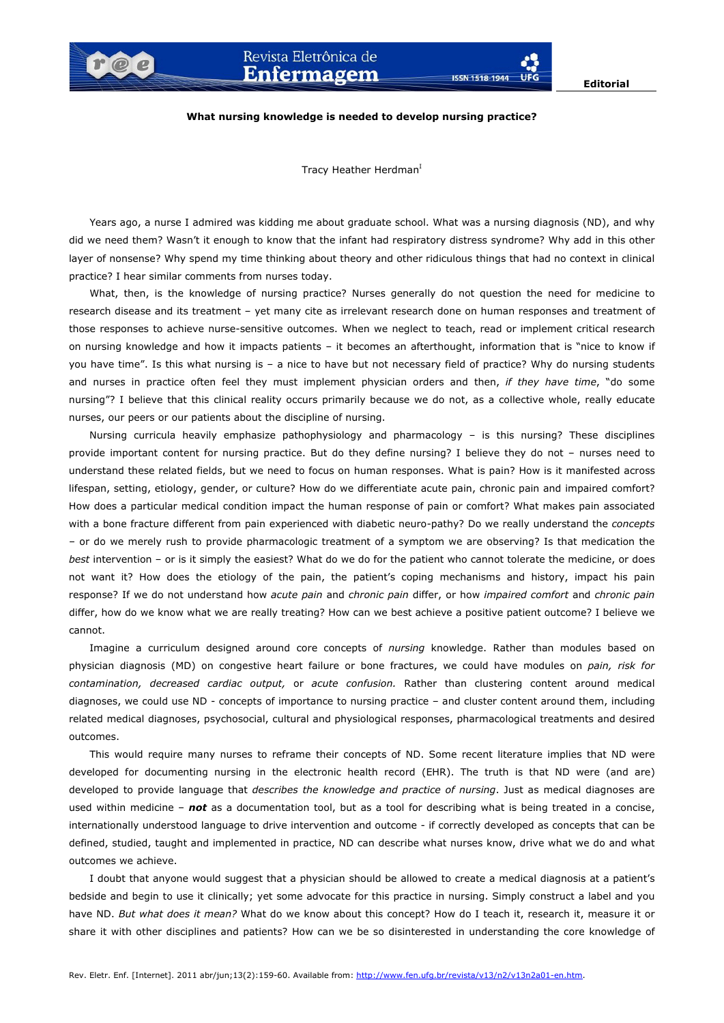**ISSN 1518-1944** 

## **What nursing knowledge is needed to develop nursing practice?**

Tracy Heather Herdman<sup>I</sup>

Years ago, a nurse I admired was kidding me about graduate school. What was a nursing diagnosis (ND), and why did we need them? Wasn't it enough to know that the infant had respiratory distress syndrome? Why add in this other layer of nonsense? Why spend my time thinking about theory and other ridiculous things that had no context in clinical practice? I hear similar comments from nurses today.

What, then, is the knowledge of nursing practice? Nurses generally do not question the need for medicine to research disease and its treatment – yet many cite as irrelevant research done on human responses and treatment of those responses to achieve nurse-sensitive outcomes. When we neglect to teach, read or implement critical research on nursing knowledge and how it impacts patients – it becomes an afterthought, information that is "nice to know if you have time". Is this what nursing is – a nice to have but not necessary field of practice? Why do nursing students and nurses in practice often feel they must implement physician orders and then, *if they have time*, "do some nursing"? I believe that this clinical reality occurs primarily because we do not, as a collective whole, really educate nurses, our peers or our patients about the discipline of nursing.

Nursing curricula heavily emphasize pathophysiology and pharmacology – is this nursing? These disciplines provide important content for nursing practice. But do they define nursing? I believe they do not – nurses need to understand these related fields, but we need to focus on human responses. What is pain? How is it manifested across lifespan, setting, etiology, gender, or culture? How do we differentiate acute pain, chronic pain and impaired comfort? How does a particular medical condition impact the human response of pain or comfort? What makes pain associated with a bone fracture different from pain experienced with diabetic neuro-pathy? Do we really understand the *concepts* – or do we merely rush to provide pharmacologic treatment of a symptom we are observing? Is that medication the *best* intervention – or is it simply the easiest? What do we do for the patient who cannot tolerate the medicine, or does not want it? How does the etiology of the pain, the patient's coping mechanisms and history, impact his pain response? If we do not understand how *acute pain* and *chronic pain* differ, or how *impaired comfort* and *chronic pain*  differ, how do we know what we are really treating? How can we best achieve a positive patient outcome? I believe we cannot.

Imagine a curriculum designed around core concepts of *nursing* knowledge. Rather than modules based on physician diagnosis (MD) on congestive heart failure or bone fractures, we could have modules on *pain, risk for contamination, decreased cardiac output,* or *acute confusion.* Rather than clustering content around medical diagnoses, we could use ND - concepts of importance to nursing practice – and cluster content around them, including related medical diagnoses, psychosocial, cultural and physiological responses, pharmacological treatments and desired outcomes.

This would require many nurses to reframe their concepts of ND. Some recent literature implies that ND were developed for documenting nursing in the electronic health record (EHR). The truth is that ND were (and are) developed to provide language that *describes the knowledge and practice of nursing*. Just as medical diagnoses are used within medicine – *not* as a documentation tool, but as a tool for describing what is being treated in a concise, internationally understood language to drive intervention and outcome - if correctly developed as concepts that can be defined, studied, taught and implemented in practice, ND can describe what nurses know, drive what we do and what outcomes we achieve.

I doubt that anyone would suggest that a physician should be allowed to create a medical diagnosis at a patient's bedside and begin to use it clinically; yet some advocate for this practice in nursing. Simply construct a label and you have ND. *But what does it mean?* What do we know about this concept? How do I teach it, research it, measure it or share it with other disciplines and patients? How can we be so disinterested in understanding the core knowledge of